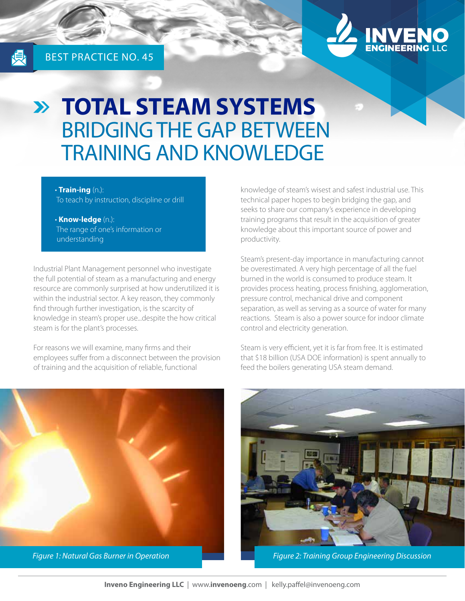

# **TOTAL STEAM SYSTEMS** BRIDGING THE GAP BETWEEN TRAINING AND KNOWLEDGE

#### • **Train-ing** (n.):

To teach by instruction, discipline or drill

• **Know-ledge** (n.): The range of one's information or understanding

Industrial Plant Management personnel who investigate the full potential of steam as a manufacturing and energy resource are commonly surprised at how underutilized it is within the industrial sector. A key reason, they commonly find through further investigation, is the scarcity of knowledge in steam's proper use...despite the how critical steam is for the plant's processes.

For reasons we will examine, many firms and their employees suffer from a disconnect between the provision of training and the acquisition of reliable, functional

knowledge of steam's wisest and safest industrial use. This technical paper hopes to begin bridging the gap, and seeks to share our company's experience in developing training programs that result in the acquisition of greater knowledge about this important source of power and productivity.

Steam's present-day importance in manufacturing cannot be overestimated. A very high percentage of all the fuel burned in the world is consumed to produce steam. It provides process heating, process finishing, agglomeration, pressure control, mechanical drive and component separation, as well as serving as a source of water for many reactions. Steam is also a power source for indoor climate control and electricity generation.

Steam is very efficient, yet it is far from free. It is estimated that \$18 billion (USA DOE information) is spent annually to feed the boilers generating USA steam demand.





*Figure 1: Natural Gas Burner in Operation Figure 2: Training Group Engineering Discussion*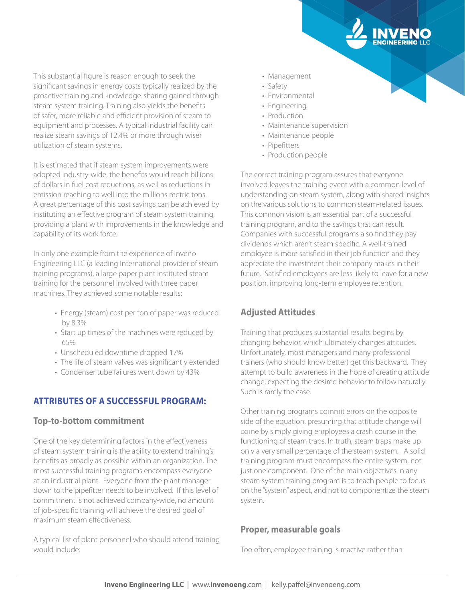This substantial figure is reason enough to seek the significant savings in energy costs typically realized by the proactive training and knowledge-sharing gained through steam system training. Training also yields the benefits of safer, more reliable and efficient provision of steam to equipment and processes. A typical industrial facility can realize steam savings of 12.4% or more through wiser utilization of steam systems.

It is estimated that if steam system improvements were adopted industry-wide, the benefits would reach billions of dollars in fuel cost reductions, as well as reductions in emission reaching to well into the millions metric tons. A great percentage of this cost savings can be achieved by instituting an effective program of steam system training, providing a plant with improvements in the knowledge and capability of its work force.

In only one example from the experience of Inveno Engineering LLC (a leading International provider of steam training programs), a large paper plant instituted steam training for the personnel involved with three paper machines. They achieved some notable results:

- Energy (steam) cost per ton of paper was reduced by 8.3%
- Start up times of the machines were reduced by 65%
- Unscheduled downtime dropped 17%
- The life of steam valves was significantly extended
- Condenser tube failures went down by 43%

# **ATTRIBUTES OF A SUCCESSFUL PROGRAM:**

### **Top-to-bottom commitment**

One of the key determining factors in the effectiveness of steam system training is the ability to extend training's benefits as broadly as possible within an organization. The most successful training programs encompass everyone at an industrial plant. Everyone from the plant manager down to the pipefitter needs to be involved. If this level of commitment is not achieved company-wide, no amount of job-specific training will achieve the desired goal of maximum steam effectiveness.

A typical list of plant personnel who should attend training would include:

- Management
- Safety
- Environmental
- Engineering
- Production
- Maintenance supervision
- Maintenance people
- Pipefitters
- Production people

The correct training program assures that everyone involved leaves the training event with a common level of understanding on steam system, along with shared insights on the various solutions to common steam-related issues. This common vision is an essential part of a successful training program, and to the savings that can result. Companies with successful programs also find they pay dividends which aren't steam specific. A well-trained employee is more satisfied in their job function and they appreciate the investment their company makes in their future. Satisfied employees are less likely to leave for a new position, improving long-term employee retention.

# **Adjusted Attitudes**

Training that produces substantial results begins by changing behavior, which ultimately changes attitudes. Unfortunately, most managers and many professional trainers (who should know better) get this backward. They attempt to build awareness in the hope of creating attitude change, expecting the desired behavior to follow naturally. Such is rarely the case.

Other training programs commit errors on the opposite side of the equation, presuming that attitude change will come by simply giving employees a crash course in the functioning of steam traps. In truth, steam traps make up only a very small percentage of the steam system. A solid training program must encompass the entire system, not just one component. One of the main objectives in any steam system training program is to teach people to focus on the "system" aspect, and not to componentize the steam system.

### **Proper, measurable goals**

Too often, employee training is reactive rather than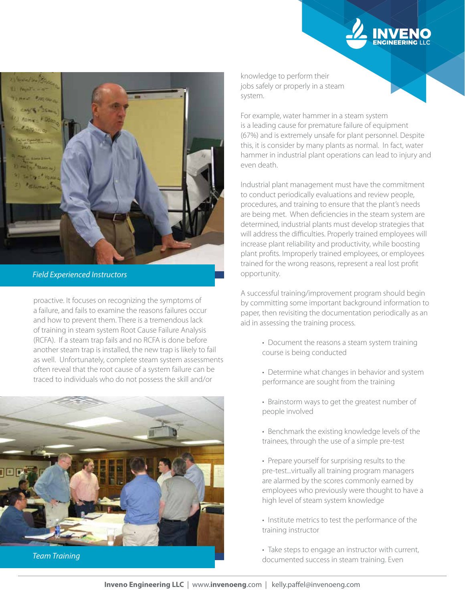

*Field Experienced Instructors*

proactive. It focuses on recognizing the symptoms of a failure, and fails to examine the reasons failures occur and how to prevent them. There is a tremendous lack of training in steam system Root Cause Failure Analysis (RCFA). If a steam trap fails and no RCFA is done before another steam trap is installed, the new trap is likely to fail as well. Unfortunately, complete steam system assessments often reveal that the root cause of a system failure can be traced to individuals who do not possess the skill and/or



knowledge to perform their jobs safely or properly in a steam system.

For example, water hammer in a steam system is a leading cause for premature failure of equipment (67%) and is extremely unsafe for plant personnel. Despite this, it is consider by many plants as normal. In fact, water hammer in industrial plant operations can lead to injury and even death.

Industrial plant management must have the commitment to conduct periodically evaluations and review people, procedures, and training to ensure that the plant's needs are being met. When deficiencies in the steam system are determined, industrial plants must develop strategies that will address the difficulties. Properly trained employees will increase plant reliability and productivity, while boosting plant profits. Improperly trained employees, or employees trained for the wrong reasons, represent a real lost profit opportunity.

A successful training/improvement program should begin by committing some important background information to paper, then revisiting the documentation periodically as an aid in assessing the training process.

- Document the reasons a steam system training course is being conducted
- Determine what changes in behavior and system performance are sought from the training
- Brainstorm ways to get the greatest number of people involved
- Benchmark the existing knowledge levels of the trainees, through the use of a simple pre-test
- Prepare yourself for surprising results to the pre-test...virtually all training program managers are alarmed by the scores commonly earned by employees who previously were thought to have a high level of steam system knowledge
- Institute metrics to test the performance of the training instructor

• Take steps to engage an instructor with current, documented success in steam training. Even